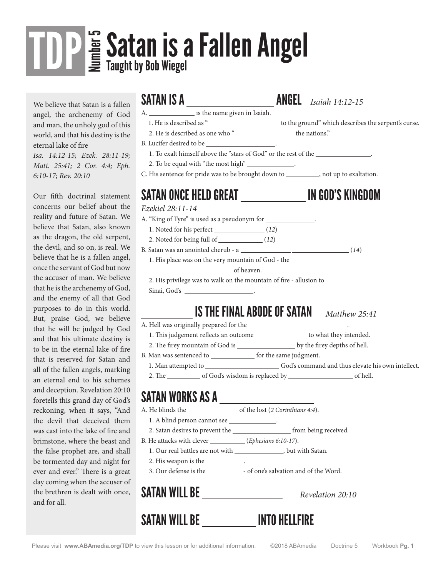## **Satan is a Fallen Angel<br><sup>E</sup> Taught by Bob Wiegel** TDP

We believe that Satan is a fallen angel, the archenemy of God and man, the unholy god of this world, and that his destiny is the eternal lake of fire

*Isa. 14:12-15; Ezek. 28:11-19; Matt. 25:41; 2 Cor. 4:4; Eph. 6:10-17; Rev. 20:10*

Our fifth doctrinal statement concerns our belief about the reality and future of Satan. We believe that Satan, also known as the dragon, the old serpent, the devil, and so on, is real. We believe that he is a fallen angel, once the servant of God but now the accuser of man. We believe that he is the archenemy of God, and the enemy of all that God purposes to do in this world. But, praise God, we believe that he will be judged by God and that his ultimate destiny is to be in the eternal lake of fire that is reserved for Satan and all of the fallen angels, marking an eternal end to his schemes and deception. Revelation 20:10 foretells this grand day of God's reckoning, when it says, "And the devil that deceived them was cast into the lake of fire and brimstone, where the beast and the false prophet are, and shall be tormented day and night for ever and ever." There is a great day coming when the accuser of the brethren is dealt with once, and for all.

SATAN IS A ANGEL *Isaiah 14:12-15*

- A. is the name given in Isaiah.
- 1. He is described as "
<u>\_\_\_\_\_\_\_\_\_</u> \_\_\_\_\_\_\_\_\_\_ to the ground" which describes the serpent's curse.
- 2. He is described as one who "
- B. Lucifer desired to be .
	- 1. To exalt himself above the "stars of God" or the rest of the .
	- 2. To be equal with "the most high" .
- C. His sentence for pride was to be brought down to \_\_\_\_\_\_\_\_\_\_, not up to exaltation.

### SATAN ONCE HELD GREAT \_\_\_\_\_\_\_\_\_\_\_\_\_\_\_\_\_\_\_\_\_\_\_ IN GOD'S KINGDOM

*Ezekiel 28:11-14*

- A. "King of Tyre" is used as a pseudonym for \_\_\_\_\_\_\_\_\_\_\_\_\_\_.
- 1. Noted for his perfect (*12*)
- 2. Noted for being full of (*12*)
- B. Satan was an anointed cherub a <u>(*14*)</u> (*14*)
	- 1. His place was on the very mountain of God the

of heaven.

2. His privilege was to walk on the mountain of fire - allusion to

Sinai, God's .

### IS THE FINAL ABODE OF SATAN *Matthew 25:41*

- A. Hell was originally prepared for the  $\_\_\_\_\_\_\_\_\_\_\_\_\_\_\_\_\_$
- 1. This judgement reflects an outcome  $\_\_\_\_\_\_$  to what they intended.
- 2. The firey mountain of God is by the firey depths of hell.
- B. Man was sentenced to \_\_\_\_\_\_\_\_\_\_\_\_\_\_\_ for the same judgment.
- 1. Man attempted to \_\_\_\_\_\_\_\_\_\_\_\_\_\_\_\_\_\_\_\_\_\_\_\_\_\_\_\_God's command and thus elevate his own intellect.
- 2. The of God's wisdom is replaced by subsequently contained by  $\sim$

### SATAN WORKS AS A

- A. He blinds the <u>containation of the lost</u> (*2 Corinthians 4:4*).
- 1. A blind person cannot see \_\_\_\_\_\_\_\_\_\_\_\_\_\_.
- 2. Satan desires to prevent the *\_\_\_\_\_\_\_\_\_\_\_\_\_\_\_\_\_\_\_\_\_\_* from being received.
- B. He attacks with clever *(Ephesians 6:10-17*).
- 1. Our real battles are not with  $\_\_\_\_\_\_\_\$ but with Satan.
- 2. His weapon is the \_\_\_\_\_\_\_\_\_\_\_\_.
- 3. Our defense is the  $\_\_\_\_\_$  of one's salvation and of the Word.

|  | <b>SATAN WILL BE</b> |  |
|--|----------------------|--|
|--|----------------------|--|

Revelation 20:10

### SATAN WILL BE \_\_\_\_\_\_\_\_\_\_ INTO HELLFIRE